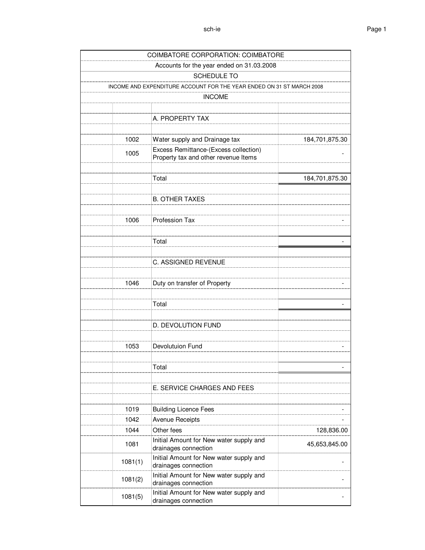| Accounts for the year ended on 31.03.2008<br>SCHEDULE TO<br>INCOME AND EXPENDITURE ACCOUNT FOR THE YEAR ENDED ON 31 ST MARCH 2008<br><b>INCOME</b><br>A. PROPERTY TAX<br>1002<br>Water supply and Drainage tax<br>Excess Remittance-(Excess collection)<br>1005<br>Property tax and other revenue Items<br>Total<br><b>B. OTHER TAXES</b><br><b>Profession Tax</b><br>1006<br>Total<br>C. ASSIGNED REVENUE | <b>COIMBATORE CORPORATION: COIMBATORE</b> |                |
|------------------------------------------------------------------------------------------------------------------------------------------------------------------------------------------------------------------------------------------------------------------------------------------------------------------------------------------------------------------------------------------------------------|-------------------------------------------|----------------|
|                                                                                                                                                                                                                                                                                                                                                                                                            |                                           |                |
|                                                                                                                                                                                                                                                                                                                                                                                                            |                                           |                |
|                                                                                                                                                                                                                                                                                                                                                                                                            |                                           |                |
|                                                                                                                                                                                                                                                                                                                                                                                                            |                                           |                |
|                                                                                                                                                                                                                                                                                                                                                                                                            |                                           |                |
|                                                                                                                                                                                                                                                                                                                                                                                                            |                                           |                |
|                                                                                                                                                                                                                                                                                                                                                                                                            |                                           |                |
|                                                                                                                                                                                                                                                                                                                                                                                                            |                                           | 184,701,875.30 |
|                                                                                                                                                                                                                                                                                                                                                                                                            |                                           |                |
|                                                                                                                                                                                                                                                                                                                                                                                                            |                                           |                |
|                                                                                                                                                                                                                                                                                                                                                                                                            |                                           |                |
|                                                                                                                                                                                                                                                                                                                                                                                                            |                                           | 184,701,875.30 |
|                                                                                                                                                                                                                                                                                                                                                                                                            |                                           |                |
|                                                                                                                                                                                                                                                                                                                                                                                                            |                                           |                |
|                                                                                                                                                                                                                                                                                                                                                                                                            |                                           |                |
|                                                                                                                                                                                                                                                                                                                                                                                                            |                                           |                |
|                                                                                                                                                                                                                                                                                                                                                                                                            |                                           |                |
|                                                                                                                                                                                                                                                                                                                                                                                                            |                                           |                |
|                                                                                                                                                                                                                                                                                                                                                                                                            |                                           |                |
|                                                                                                                                                                                                                                                                                                                                                                                                            |                                           |                |
|                                                                                                                                                                                                                                                                                                                                                                                                            |                                           |                |
| 1046<br>Duty on transfer of Property                                                                                                                                                                                                                                                                                                                                                                       |                                           |                |
|                                                                                                                                                                                                                                                                                                                                                                                                            |                                           |                |
| Total                                                                                                                                                                                                                                                                                                                                                                                                      |                                           |                |
|                                                                                                                                                                                                                                                                                                                                                                                                            |                                           |                |
| D. DEVOLUTION FUND                                                                                                                                                                                                                                                                                                                                                                                         |                                           |                |
|                                                                                                                                                                                                                                                                                                                                                                                                            |                                           |                |
| Devolutuion Fund<br>1053                                                                                                                                                                                                                                                                                                                                                                                   |                                           |                |
|                                                                                                                                                                                                                                                                                                                                                                                                            |                                           |                |
| Total                                                                                                                                                                                                                                                                                                                                                                                                      |                                           |                |
|                                                                                                                                                                                                                                                                                                                                                                                                            |                                           |                |
| E. SERVICE CHARGES AND FEES                                                                                                                                                                                                                                                                                                                                                                                |                                           |                |
|                                                                                                                                                                                                                                                                                                                                                                                                            |                                           |                |
| 1019<br><b>Building Licence Fees</b>                                                                                                                                                                                                                                                                                                                                                                       |                                           |                |
| 1042<br><b>Avenue Receipts</b>                                                                                                                                                                                                                                                                                                                                                                             |                                           |                |
| Other fees<br>1044                                                                                                                                                                                                                                                                                                                                                                                         |                                           | 128,836.00     |
| Initial Amount for New water supply and<br>1081<br>drainages connection                                                                                                                                                                                                                                                                                                                                    |                                           | 45,653,845.00  |
| Initial Amount for New water supply and<br>1081(1)<br>drainages connection                                                                                                                                                                                                                                                                                                                                 |                                           |                |
| Initial Amount for New water supply and<br>1081(2)<br>drainages connection                                                                                                                                                                                                                                                                                                                                 |                                           |                |
| Initial Amount for New water supply and<br>1081(5)<br>drainages connection                                                                                                                                                                                                                                                                                                                                 |                                           |                |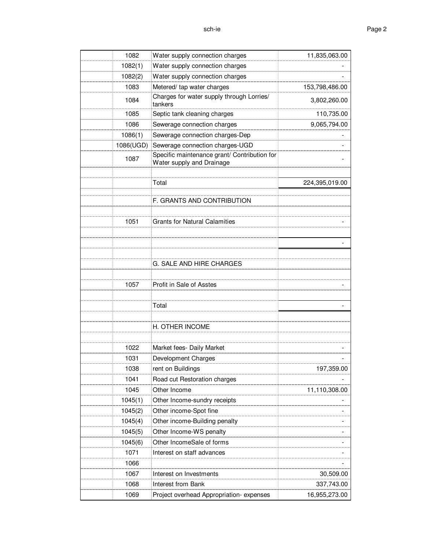| 1082      | Water supply connection charges                                           | 11,835,063.00  |
|-----------|---------------------------------------------------------------------------|----------------|
| 1082(1)   | Water supply connection charges                                           |                |
| 1082(2)   | Water supply connection charges                                           |                |
| 1083      | Metered/ tap water charges                                                | 153,798,486.00 |
| 1084      | Charges for water supply through Lorries/<br>tankers                      | 3,802,260.00   |
| 1085      | Septic tank cleaning charges                                              | 110,735.00     |
| 1086      | Sewerage connection charges                                               | 9,065,794.00   |
| 1086(1)   | Sewerage connection charges-Dep                                           |                |
| 1086(UGD) | Sewerage connection charges-UGD                                           |                |
| 1087      | Specific maintenance grant/ Contribution for<br>Water supply and Drainage |                |
|           |                                                                           |                |
|           | Total                                                                     | 224,395,019.00 |
|           |                                                                           |                |
|           | F. GRANTS AND CONTRIBUTION                                                |                |
| 1051      | <b>Grants for Natural Calamities</b>                                      |                |
|           |                                                                           |                |
|           |                                                                           |                |
|           |                                                                           |                |
|           | G. SALE AND HIRE CHARGES                                                  |                |
|           |                                                                           |                |
| 1057      | Profit in Sale of Asstes                                                  |                |
|           |                                                                           |                |
|           | Total                                                                     |                |
|           |                                                                           |                |
|           | H. OTHER INCOME                                                           |                |
|           |                                                                           |                |
| 1022      | Market fees- Daily Market                                                 |                |
| 1031      | Development Charges                                                       |                |
| 1038      | rent on Buildings                                                         | 197,359.00     |
| 1041      | Road cut Restoration charges                                              |                |
| 1045      | Other Income                                                              | 11,110,308.00  |
| 1045(1)   | Other Income-sundry receipts                                              |                |
| 1045(2)   | Other income-Spot fine                                                    |                |
| 1045(4)   | Other income-Building penalty                                             |                |
| 1045(5)   | Other Income-WS penalty                                                   |                |
| 1045(6)   | Other IncomeSale of forms                                                 |                |
| 1071      | Interest on staff advances                                                |                |
| 1066      |                                                                           |                |
| 1067      | Interest on Investments                                                   | 30,509.00      |
| 1068      | <b>Interest from Bank</b>                                                 | 337,743.00     |
| 1069      | Project overhead Appropriation-expenses                                   | 16,955,273.00  |
|           |                                                                           |                |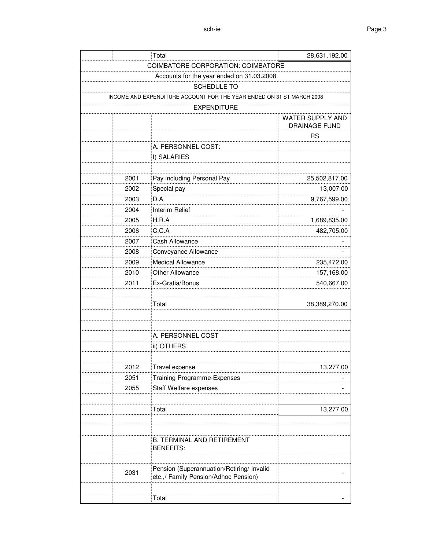| Total                                                                 | 28,631,192.00    |
|-----------------------------------------------------------------------|------------------|
| <b>COIMBATORE CORPORATION: COIMBATORE</b>                             |                  |
| Accounts for the year ended on 31.03.2008                             |                  |
| <b>SCHEDULE TO</b>                                                    |                  |
| INCOME AND EXPENDITURE ACCOUNT FOR THE YEAR ENDED ON 31 ST MARCH 2008 |                  |
| <b>EXPENDITURE</b>                                                    |                  |
|                                                                       | WATER SUPPLY AND |
|                                                                       | DRAINAGE FUND    |
|                                                                       | <b>RS</b>        |
| A. PERSONNEL COST:                                                    |                  |
| I) SALARIES                                                           |                  |
|                                                                       |                  |
| Pay including Personal Pay<br>2001                                    | 25,502,817.00    |
| 2002<br>Special pay                                                   | 13,007.00        |
| 2003<br>D.A                                                           | 9,767,599.00     |
| 2004<br>Interim Relief                                                |                  |
| 2005<br>H.R.A                                                         | 1,689,835.00     |
| C.C.A<br>2006                                                         | 482,705.00       |
| 2007<br>Cash Allowance                                                |                  |
| Conveyance Allowance<br>2008                                          |                  |
| <b>Medical Allowance</b><br>2009                                      | 235,472.00       |
| Other Allowance<br>2010                                               | 157,168.00       |
| 2011<br>Ex-Gratia/Bonus                                               | 540,667.00       |
|                                                                       |                  |
| Total                                                                 | 38,389,270.00    |
|                                                                       |                  |
|                                                                       |                  |
| A. PERSONNEL COST                                                     |                  |
| ii) OTHERS                                                            |                  |
|                                                                       |                  |
| 2012<br>Travel expense                                                | 13,277.00        |
| Training Programme-Expenses<br>2051                                   |                  |
| Staff Welfare expenses<br>2055                                        |                  |
|                                                                       |                  |
| Total                                                                 | 13,277.00        |
|                                                                       |                  |
|                                                                       |                  |
| <b>B. TERMINAL AND RETIREMENT</b>                                     |                  |
| <b>BENEFITS:</b>                                                      |                  |
| Pension (Superannuation/Retiring/ Invalid                             |                  |
| 2031<br>etc.,/ Family Pension/Adhoc Pension)                          |                  |
|                                                                       |                  |
| Total                                                                 |                  |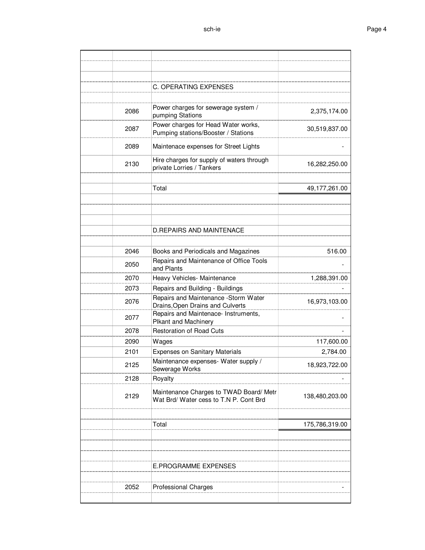|      | C. OPERATING EXPENSES                                                             |                |
|------|-----------------------------------------------------------------------------------|----------------|
|      |                                                                                   |                |
| 2086 | Power charges for sewerage system /<br>pumping Stations                           | 2,375,174.00   |
| 2087 | Power charges for Head Water works,<br>Pumping stations/Booster / Stations        | 30,519,837.00  |
| 2089 | Maintenace expenses for Street Lights                                             |                |
| 2130 | Hire charges for supply of waters through<br>private Lorries / Tankers            | 16,282,250.00  |
|      | Total                                                                             | 49,177,261.00  |
|      |                                                                                   |                |
|      |                                                                                   |                |
|      | <b>D.REPAIRS AND MAINTENACE</b>                                                   |                |
|      |                                                                                   |                |
| 2046 | Books and Periodicals and Magazines                                               | 516.00         |
| 2050 | Repairs and Maintenance of Office Tools<br>and Plants                             |                |
| 2070 | Heavy Vehicles- Maintenance                                                       | 1,288,391.00   |
| 2073 | Repairs and Building - Buildings                                                  |                |
| 2076 | Repairs and Maintenance -Storm Water<br>Drains, Open Drains and Culverts          | 16,973,103.00  |
| 2077 | Repairs and Maintenace- Instruments,<br>Plkant and Machinery                      |                |
| 2078 | <b>Restoration of Road Cuts</b>                                                   |                |
| 2090 | Wages                                                                             | 117,600.00     |
| 2101 | <b>Expenses on Sanitary Materials</b>                                             | 2,784.00       |
| 2125 | Maintenance expenses- Water supply /<br>Sewerage Works                            | 18,923,722.00  |
| 2128 | Royalty                                                                           |                |
| 2129 | Maintenance Charges to TWAD Board/ Metr<br>Wat Brd/ Water cess to T.N P. Cont Brd | 138,480,203.00 |
|      |                                                                                   |                |
|      | Total                                                                             | 175,786,319.00 |
|      |                                                                                   |                |
|      |                                                                                   |                |
|      |                                                                                   |                |
|      | <b>E.PROGRAMME EXPENSES</b>                                                       |                |
| 2052 | <b>Professional Charges</b>                                                       |                |
|      |                                                                                   |                |